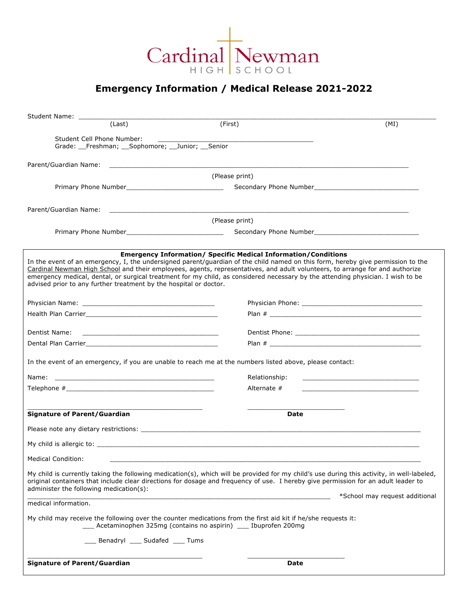

## **Emergency Information / Medical Release 2021-2022**

| Student Name: ________                                                                                                                                                                                                                        |                                                                                                                                                                                                                                                                                                                                                                                                                                                                             |                                |
|-----------------------------------------------------------------------------------------------------------------------------------------------------------------------------------------------------------------------------------------------|-----------------------------------------------------------------------------------------------------------------------------------------------------------------------------------------------------------------------------------------------------------------------------------------------------------------------------------------------------------------------------------------------------------------------------------------------------------------------------|--------------------------------|
| (Last)                                                                                                                                                                                                                                        | (First)                                                                                                                                                                                                                                                                                                                                                                                                                                                                     | (MI)                           |
| Student Cell Phone Number:                                                                                                                                                                                                                    |                                                                                                                                                                                                                                                                                                                                                                                                                                                                             |                                |
| Grade: Freshman; Sophomore; Junior; Senior                                                                                                                                                                                                    |                                                                                                                                                                                                                                                                                                                                                                                                                                                                             |                                |
| Parent/Guardian Name:                                                                                                                                                                                                                         |                                                                                                                                                                                                                                                                                                                                                                                                                                                                             |                                |
|                                                                                                                                                                                                                                               | (Please print)                                                                                                                                                                                                                                                                                                                                                                                                                                                              |                                |
|                                                                                                                                                                                                                                               |                                                                                                                                                                                                                                                                                                                                                                                                                                                                             |                                |
|                                                                                                                                                                                                                                               |                                                                                                                                                                                                                                                                                                                                                                                                                                                                             |                                |
| Parent/Guardian Name:                                                                                                                                                                                                                         |                                                                                                                                                                                                                                                                                                                                                                                                                                                                             |                                |
|                                                                                                                                                                                                                                               | (Please print)                                                                                                                                                                                                                                                                                                                                                                                                                                                              |                                |
|                                                                                                                                                                                                                                               |                                                                                                                                                                                                                                                                                                                                                                                                                                                                             |                                |
|                                                                                                                                                                                                                                               |                                                                                                                                                                                                                                                                                                                                                                                                                                                                             |                                |
| advised prior to any further treatment by the hospital or doctor.                                                                                                                                                                             | <b>Emergency Information/ Specific Medical Information/Conditions</b><br>In the event of an emergency, I, the undersigned parent/guardian of the child named on this form, hereby give permission to the<br>Cardinal Newman High School and their employees, agents, representatives, and adult volunteers, to arrange for and authorize<br>emergency medical, dental, or surgical treatment for my child, as considered necessary by the attending physician. I wish to be |                                |
|                                                                                                                                                                                                                                               |                                                                                                                                                                                                                                                                                                                                                                                                                                                                             |                                |
|                                                                                                                                                                                                                                               |                                                                                                                                                                                                                                                                                                                                                                                                                                                                             |                                |
|                                                                                                                                                                                                                                               |                                                                                                                                                                                                                                                                                                                                                                                                                                                                             |                                |
| Dentist Name:<br><u> 1989 - Johann Barn, mars ann an t-Amhainn an t-Amhainn an t-Amhainn an t-Amhainn an t-Amhainn an t-Amhainn an </u>                                                                                                       |                                                                                                                                                                                                                                                                                                                                                                                                                                                                             |                                |
|                                                                                                                                                                                                                                               |                                                                                                                                                                                                                                                                                                                                                                                                                                                                             |                                |
|                                                                                                                                                                                                                                               | In the event of an emergency, if you are unable to reach me at the numbers listed above, please contact:                                                                                                                                                                                                                                                                                                                                                                    |                                |
| Name:<br><u> 1989 - Johann Harry Harry Harry Harry Harry Harry Harry Harry Harry Harry Harry Harry Harry Harry Harry Harry Harry Harry Harry Harry Harry Harry Harry Harry Harry Harry Harry Harry Harry Harry Harry Harry Harry Harry Ha</u> | Relationship:                                                                                                                                                                                                                                                                                                                                                                                                                                                               |                                |
| Telephone $#$                                                                                                                                                                                                                                 | Alternate $#$                                                                                                                                                                                                                                                                                                                                                                                                                                                               |                                |
|                                                                                                                                                                                                                                               |                                                                                                                                                                                                                                                                                                                                                                                                                                                                             |                                |
| <b>Signature of Parent/Guardian</b>                                                                                                                                                                                                           | Date                                                                                                                                                                                                                                                                                                                                                                                                                                                                        |                                |
|                                                                                                                                                                                                                                               |                                                                                                                                                                                                                                                                                                                                                                                                                                                                             |                                |
| My child is allergic to: with a state of the state of the state of the state of the state of the state of the state of the state of the state of the state of the state of the state of the state of the state of the state of                |                                                                                                                                                                                                                                                                                                                                                                                                                                                                             |                                |
| <b>Medical Condition:</b>                                                                                                                                                                                                                     |                                                                                                                                                                                                                                                                                                                                                                                                                                                                             |                                |
|                                                                                                                                                                                                                                               | My child is currently taking the following medication(s), which will be provided for my child's use during this activity, in well-labeled,                                                                                                                                                                                                                                                                                                                                  |                                |
| administer the following medication(s):                                                                                                                                                                                                       | original containers that include clear directions for dosage and frequency of use. I hereby give permission for an adult leader to                                                                                                                                                                                                                                                                                                                                          |                                |
| medical information.                                                                                                                                                                                                                          |                                                                                                                                                                                                                                                                                                                                                                                                                                                                             | *School may request additional |
|                                                                                                                                                                                                                                               | My child may receive the following over the counter medications from the first aid kit if he/she requests it:<br>Acetaminophen 325mg (contains no aspirin) ____ Ibuprofen 200mg                                                                                                                                                                                                                                                                                             |                                |
| __ Benadryl ___ Sudafed ___ Tums                                                                                                                                                                                                              |                                                                                                                                                                                                                                                                                                                                                                                                                                                                             |                                |
|                                                                                                                                                                                                                                               |                                                                                                                                                                                                                                                                                                                                                                                                                                                                             |                                |
| <b>Signature of Parent/Guardian</b>                                                                                                                                                                                                           | Date                                                                                                                                                                                                                                                                                                                                                                                                                                                                        |                                |